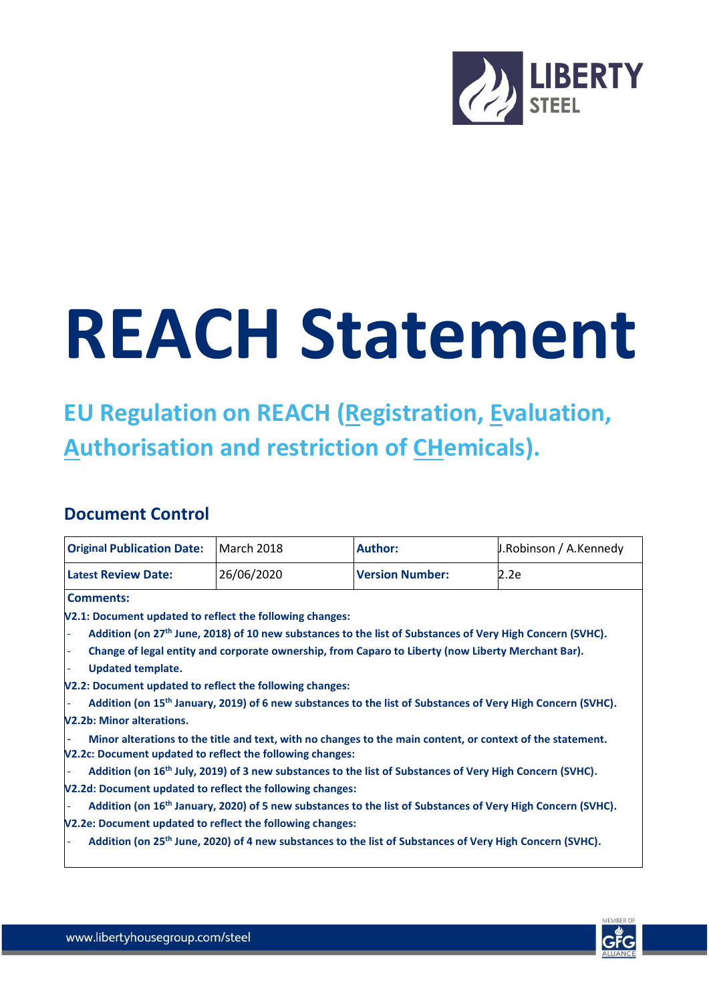

## **REACH Statement**

## **EU Regulation on REACH (Registration, Evaluation, Authorisation and restriction of CHemicals).**

## **Document Control**

| <b>Original Publication Date:</b>                                                                                                                | <b>March 2018</b> | <b>Author:</b>                                                                                                       | J.Robinson / A.Kennedy                                                                                                  |
|--------------------------------------------------------------------------------------------------------------------------------------------------|-------------------|----------------------------------------------------------------------------------------------------------------------|-------------------------------------------------------------------------------------------------------------------------|
| <b>Latest Review Date:</b>                                                                                                                       | 26/06/2020        | <b>Version Number:</b>                                                                                               | 2.2e                                                                                                                    |
| <b>Comments:</b>                                                                                                                                 |                   |                                                                                                                      |                                                                                                                         |
| V2.1: Document updated to reflect the following changes:                                                                                         |                   |                                                                                                                      |                                                                                                                         |
|                                                                                                                                                  |                   | Addition (on 27th June, 2018) of 10 new substances to the list of Substances of Very High Concern (SVHC).            |                                                                                                                         |
|                                                                                                                                                  |                   | Change of legal entity and corporate ownership, from Caparo to Liberty (now Liberty Merchant Bar).                   |                                                                                                                         |
| <b>Updated template.</b>                                                                                                                         |                   |                                                                                                                      |                                                                                                                         |
| V2.2: Document updated to reflect the following changes:                                                                                         |                   |                                                                                                                      |                                                                                                                         |
|                                                                                                                                                  |                   |                                                                                                                      | Addition (on 15 <sup>th</sup> January, 2019) of 6 new substances to the list of Substances of Very High Concern (SVHC). |
| <b>V2.2b: Minor alterations.</b>                                                                                                                 |                   |                                                                                                                      |                                                                                                                         |
| V2.2c: Document updated to reflect the following changes:                                                                                        |                   | Minor alterations to the title and text, with no changes to the main content, or context of the statement.           |                                                                                                                         |
|                                                                                                                                                  |                   | Addition (on 16 <sup>th</sup> July, 2019) of 3 new substances to the list of Substances of Very High Concern (SVHC). |                                                                                                                         |
| V2.2d: Document updated to reflect the following changes:                                                                                        |                   |                                                                                                                      |                                                                                                                         |
|                                                                                                                                                  |                   |                                                                                                                      | Addition (on 16 <sup>th</sup> January, 2020) of 5 new substances to the list of Substances of Very High Concern (SVHC). |
| V2.2e: Document updated to reflect the following changes:                                                                                        |                   |                                                                                                                      |                                                                                                                         |
| Addition (on 25 <sup>th</sup> June, 2020) of 4 new substances to the list of Substances of Very High Concern (SVHC).<br>$\overline{\phantom{a}}$ |                   |                                                                                                                      |                                                                                                                         |